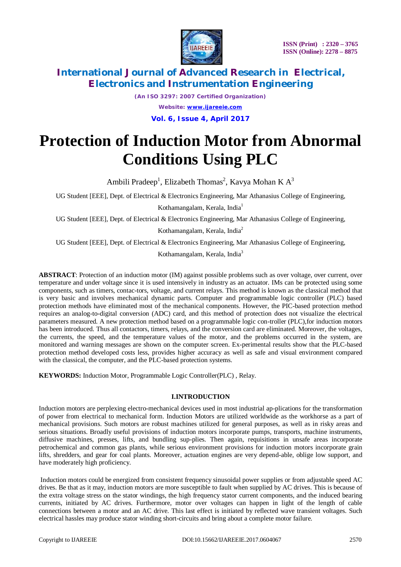

*(An ISO 3297: 2007 Certified Organization) Website: [www.ijareeie.com](http://www.ijareeie.com)* **Vol. 6, Issue 4, April 2017**

# **Protection of Induction Motor from Abnormal Conditions Using PLC**

Ambili Pradeep<sup>1</sup>, Elizabeth Thomas<sup>2</sup>, Kavya Mohan K A<sup>3</sup>

UG Student [EEE], Dept. of Electrical & Electronics Engineering, Mar Athanasius College of Engineering,

Kothamangalam, Kerala, India<sup>1</sup>

UG Student [EEE], Dept. of Electrical & Electronics Engineering, Mar Athanasius College of Engineering,

Kothamangalam, Kerala, India<sup>2</sup>

UG Student [EEE], Dept. of Electrical & Electronics Engineering, Mar Athanasius College of Engineering,

Kothamangalam, Kerala, India<sup>3</sup>

**ABSTRACT**: Protection of an induction motor (IM) against possible problems such as over voltage, over current, over temperature and under voltage since it is used intensively in industry as an actuator. IMs can be protected using some components, such as timers, contac-tors, voltage, and current relays. This method is known as the classical method that is very basic and involves mechanical dynamic parts. Computer and programmable logic controller (PLC) based protection methods have eliminated most of the mechanical components. However, the PIC-based protection method requires an analog-to-digital conversion (ADC) card, and this method of protection does not visualize the electrical parameters measured. A new protection method based on a programmable logic con-troller (PLC),for induction motors has been introduced. Thus all contactors, timers, relays, and the conversion card are eliminated. Moreover, the voltages, the currents, the speed, and the temperature values of the motor, and the problems occurred in the system, are monitored and warning messages are shown on the computer screen. Ex-perimental results show that the PLC-based protection method developed costs less, provides higher accuracy as well as safe and visual environment compared with the classical, the computer, and the PLC-based protection systems.

**KEYWORDS:** Induction Motor, Programmable Logic Controller(PLC) , Relay.

#### **I.INTRODUCTION**

Induction motors are perplexing electro-mechanical devices used in most industrial ap-plications for the transformation of power from electrical to mechanical form. Induction Motors are utilized worldwide as the workhorse as a part of mechanical provisions. Such motors are robust machines utilized for general purposes, as well as in risky areas and serious situations. Broadly useful provisions of induction motors incorporate pumps, transports, machine instruments, diffusive machines, presses, lifts, and bundling sup-plies. Then again, requisitions in unsafe areas incorporate petrochemical and common gas plants, while serious environment provisions for induction motors incorporate grain lifts, shredders, and gear for coal plants. Moreover, actuation engines are very depend-able, oblige low support, and have moderately high proficiency.

Induction motors could be energized from consistent frequency sinusoidal power supplies or from adjustable speed AC drives. Be that as it may, induction motors are more susceptible to fault when supplied by AC drives. This is because of the extra voltage stress on the stator windings, the high frequency stator current components, and the induced bearing currents, initiated by AC drives. Furthermore, motor over voltages can happen in light of the length of cable connections between a motor and an AC drive. This last effect is initiated by reflected wave transient voltages. Such electrical hassles may produce stator winding short-circuits and bring about a complete motor failure.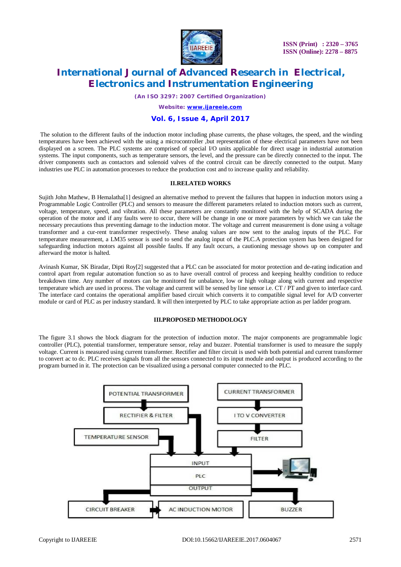

*(An ISO 3297: 2007 Certified Organization)*

*Website: [www.ijareeie.com](http://www.ijareeie.com)*

### **Vol. 6, Issue 4, April 2017**

The solution to the different faults of the induction motor including phase currents, the phase voltages, the speed, and the winding temperatures have been achieved with the using a microcontroller ,but representation of these electrical parameters have not been displayed on a screen. The PLC systems are comprised of special I/O units applicable for direct usage in industrial automation systems. The input components, such as temperature sensors, the level, and the pressure can be directly connected to the input. The driver components such as contactors and solenoid valves of the control circuit can be directly connected to the output. Many industries use PLC in automation processes to reduce the production cost and to increase quality and reliability.

#### **II.RELATED WORKS**

Sujith John Mathew, B Hemalatha[1] designed an alternative method to prevent the failures that happen in induction motors using a Programmable Logic Controller (PLC) and sensors to measure the different parameters related to induction motors such as current, voltage, temperature, speed, and vibration. All these parameters are constantly monitored with the help of SCADA during the operation of the motor and if any faults were to occur, there will be change in one or more parameters by which we can take the necessary precautions thus preventing damage to the induction motor. The voltage and current measurement is done using a voltage transformer and a cur-rent transformer respectively. These analog values are now sent to the analog inputs of the PLC. For temperature measurement, a LM35 sensor is used to send the analog input of the PLC.A protection system has been designed for safeguarding induction motors against all possible faults. If any fault occurs, a cautioning message shows up on computer and afterward the motor is halted.

Avinash Kumar, SK Biradar, Dipti Roy[2] suggested that a PLC can be associated for motor protection and de-rating indication and control apart from regular automation function so as to have overall control of process and keeping healthy condition to reduce breakdown time. Any number of motors can be monitored for unbalance, low or high voltage along with current and respective temperature which are used in process. The voltage and current will be sensed by line sensor i.e. CT / PT and given to interface card. The interface card contains the operational amplifier based circuit which converts it to compatible signal level for A/D converter module or card of PLC as per industry standard. It will then interpreted by PLC to take appropriate action as per ladder program.

#### **III.PROPOSED METHODOLOGY**

The figure 3.1 shows the block diagram for the protection of induction motor. The major components are programmable logic controller (PLC), potential transformer, temperature sensor, relay and buzzer. Potential transformer is used to measure the supply voltage. Current is measured using current transformer. Rectifier and filter circuit is used with both potential and current transformer to convert ac to dc. PLC receives signals from all the sensors connected to its input module and output is produced according to the program burned in it. The protection can be visualized using a personal computer connected to the PLC.

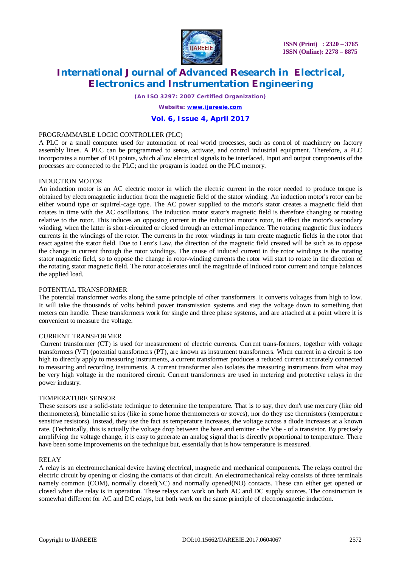

*(An ISO 3297: 2007 Certified Organization)*

*Website: [www.ijareeie.com](http://www.ijareeie.com)*

### **Vol. 6, Issue 4, April 2017**

#### PROGRAMMABLE LOGIC CONTROLLER (PLC)

A PLC or a small computer used for automation of real world processes, such as control of machinery on factory assembly lines. A PLC can be programmed to sense, activate, and control industrial equipment. Therefore, a PLC incorporates a number of I/O points, which allow electrical signals to be interfaced. Input and output components of the processes are connected to the PLC; and the program is loaded on the PLC memory.

#### INDUCTION MOTOR

An induction motor is an AC electric motor in which the electric current in the rotor needed to produce torque is obtained by electromagnetic induction from the magnetic field of the stator winding. An induction motor's rotor can be either wound type or squirrel-cage type. The AC power supplied to the motor's stator creates a magnetic field that rotates in time with the AC oscillations. The induction motor stator's magnetic field is therefore changing or rotating relative to the rotor. This induces an opposing current in the induction motor's rotor, in effect the motor's secondary winding, when the latter is short-circuited or closed through an external impedance. The rotating magnetic flux induces currents in the windings of the rotor. The currents in the rotor windings in turn create magnetic fields in the rotor that react against the stator field. Due to Lenz's Law, the direction of the magnetic field created will be such as to oppose the change in current through the rotor windings. The cause of induced current in the rotor windings is the rotating stator magnetic field, so to oppose the change in rotor-winding currents the rotor will start to rotate in the direction of the rotating stator magnetic field. The rotor accelerates until the magnitude of induced rotor current and torque balances the applied load.

#### POTENTIAL TRANSFORMER

The potential transformer works along the same principle of other transformers. It converts voltages from high to low. It will take the thousands of volts behind power transmission systems and step the voltage down to something that meters can handle. These transformers work for single and three phase systems, and are attached at a point where it is convenient to measure the voltage.

#### CURRENT TRANSFORMER

Current transformer (CT) is used for measurement of electric currents. Current trans-formers, together with voltage transformers (VT) (potential transformers (PT), are known as instrument transformers. When current in a circuit is too high to directly apply to measuring instruments, a current transformer produces a reduced current accurately connected to measuring and recording instruments. A current transformer also isolates the measuring instruments from what may be very high voltage in the monitored circuit. Current transformers are used in metering and protective relays in the power industry.

#### TEMPERATURE SENSOR

These sensors use a solid-state technique to determine the temperature. That is to say, they don't use mercury (like old thermometers), bimetallic strips (like in some home thermometers or stoves), nor do they use thermistors (temperature sensitive resistors). Instead, they use the fact as temperature increases, the voltage across a diode increases at a known rate. (Technically, this is actually the voltage drop between the base and emitter - the Vbe - of a transistor. By precisely amplifying the voltage change, it is easy to generate an analog signal that is directly proportional to temperature. There have been some improvements on the technique but, essentially that is how temperature is measured.

#### RELAY

A relay is an electromechanical device having electrical, magnetic and mechanical components. The relays control the electric circuit by opening or closing the contacts of that circuit. An electromechanical relay consists of three terminals namely common (COM), normally closed(NC) and normally opened(NO) contacts. These can either get opened or closed when the relay is in operation. These relays can work on both AC and DC supply sources. The construction is somewhat different for AC and DC relays, but both work on the same principle of electromagnetic induction.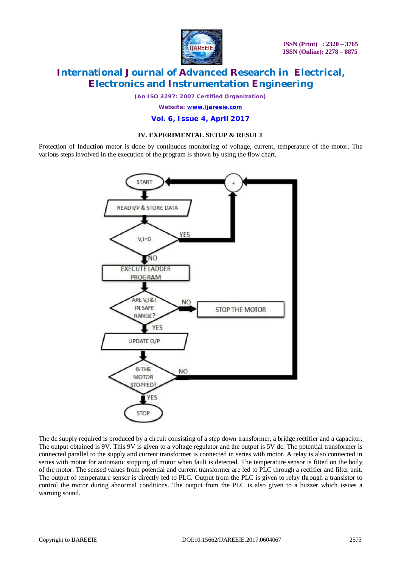

**ISSN (Print) : 2320 – 3765 ISSN (Online): 2278 – 8875**

# **International Journal of Advanced Research in Electrical, Electronics and Instrumentation Engineering**

*(An ISO 3297: 2007 Certified Organization)*

*Website: [www.ijareeie.com](http://www.ijareeie.com)*

**Vol. 6, Issue 4, April 2017**

### **IV. EXPERIMENTAL SETUP & RESULT**

Protection of Induction motor is done by continuous monitoring of voltage, current, temperature of the motor. The various steps involved in the execution of the program is shown by using the flow chart.



The dc supply required is produced by a circuit consisting of a step down transformer, a bridge rectifier and a capacitor. The output obtained is 9V. This 9V is given to a voltage regulator and the output is 5V dc. The potential transformer is connected parallel to the supply and current transformer is connected in series with motor. A relay is also connected in series with motor for automatic stopping of motor when fault is detected. The temperature sensor is fitted on the body of the motor. The sensed values from potential and current transformer are fed to PLC through a rectifier and filter unit. The output of temperature sensor is directly fed to PLC. Output from the PLC is given to relay through a transistor to control the motor during abnormal conditions. The output from the PLC is also given to a buzzer which issues a warning sound.